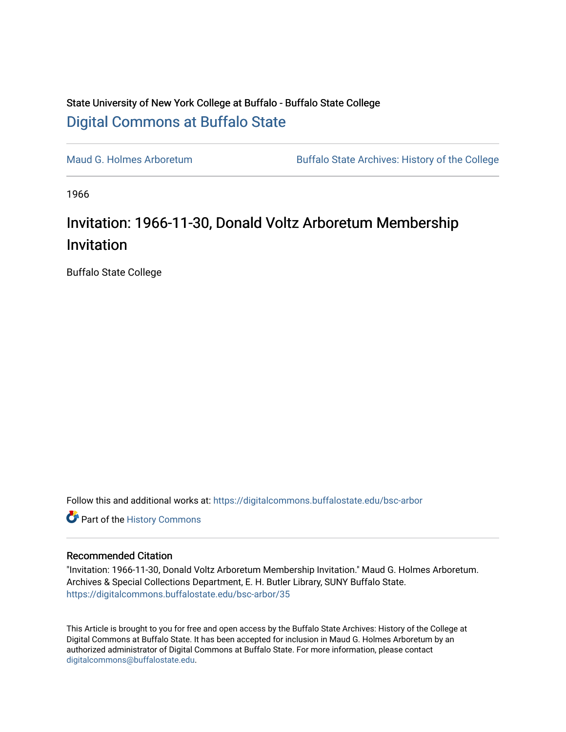## State University of New York College at Buffalo - Buffalo State College [Digital Commons at Buffalo State](https://digitalcommons.buffalostate.edu/)

[Maud G. Holmes Arboretum](https://digitalcommons.buffalostate.edu/bsc-arbor) Buffalo State Archives: History of the College

1966

## Invitation: 1966-11-30, Donald Voltz Arboretum Membership Invitation

Buffalo State College

Follow this and additional works at: [https://digitalcommons.buffalostate.edu/bsc-arbor](https://digitalcommons.buffalostate.edu/bsc-arbor?utm_source=digitalcommons.buffalostate.edu%2Fbsc-arbor%2F35&utm_medium=PDF&utm_campaign=PDFCoverPages) 

Part of the [History Commons](http://network.bepress.com/hgg/discipline/489?utm_source=digitalcommons.buffalostate.edu%2Fbsc-arbor%2F35&utm_medium=PDF&utm_campaign=PDFCoverPages) 

## Recommended Citation

"Invitation: 1966-11-30, Donald Voltz Arboretum Membership Invitation." Maud G. Holmes Arboretum. Archives & Special Collections Department, E. H. Butler Library, SUNY Buffalo State. [https://digitalcommons.buffalostate.edu/bsc-arbor/35](https://digitalcommons.buffalostate.edu/bsc-arbor/35?utm_source=digitalcommons.buffalostate.edu%2Fbsc-arbor%2F35&utm_medium=PDF&utm_campaign=PDFCoverPages) 

This Article is brought to you for free and open access by the Buffalo State Archives: History of the College at Digital Commons at Buffalo State. It has been accepted for inclusion in Maud G. Holmes Arboretum by an authorized administrator of Digital Commons at Buffalo State. For more information, please contact [digitalcommons@buffalostate.edu.](mailto:digitalcommons@buffalostate.edu)